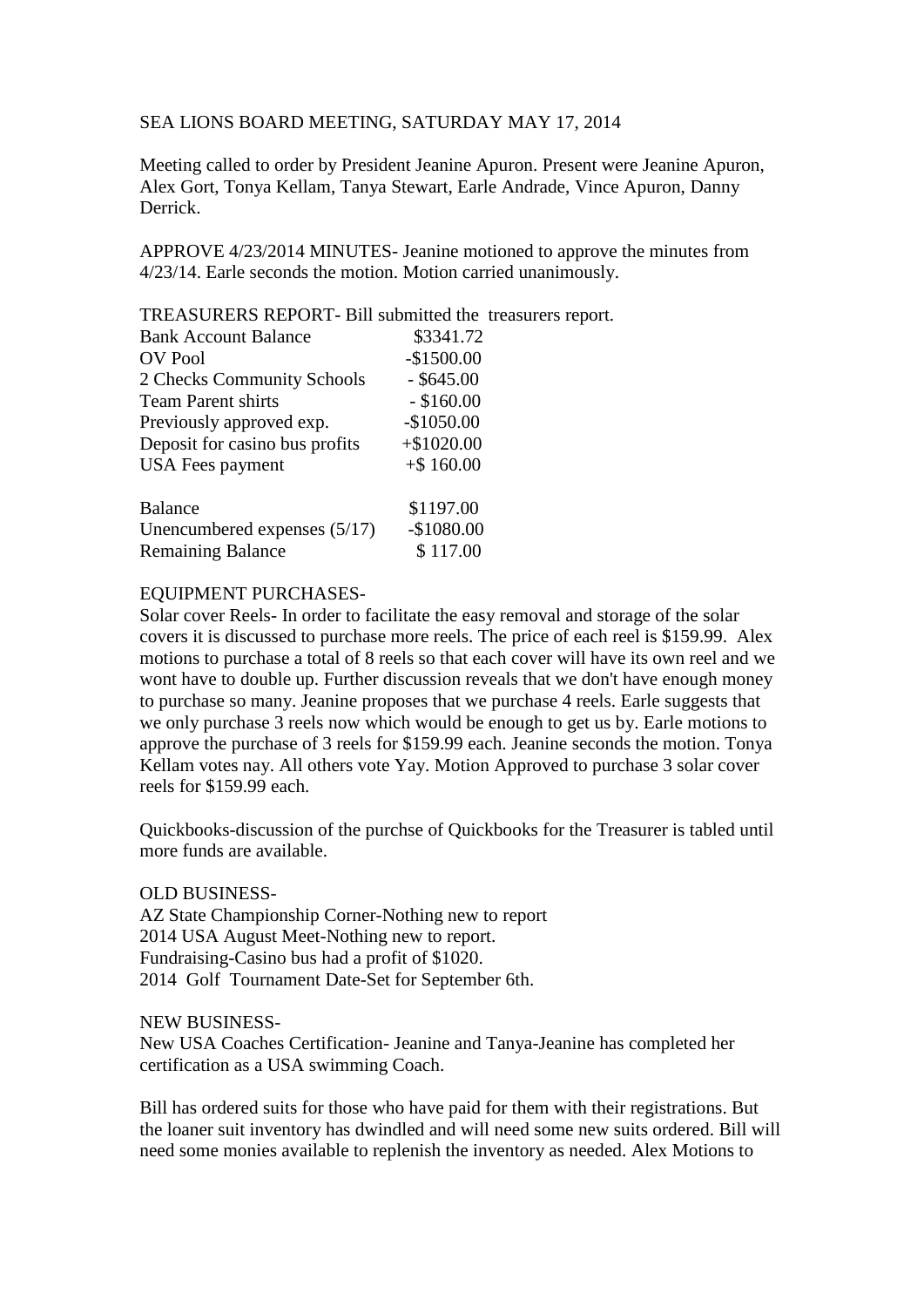## SEA LIONS BOARD MEETING, SATURDAY MAY 17, 2014

Meeting called to order by President Jeanine Apuron. Present were Jeanine Apuron, Alex Gort, Tonya Kellam, Tanya Stewart, Earle Andrade, Vince Apuron, Danny Derrick.

APPROVE 4/23/2014 MINUTES- Jeanine motioned to approve the minutes from 4/23/14. Earle seconds the motion. Motion carried unanimously.

TREASURERS REPORT- Bill submitted the treasurers report.

| <b>Bank Account Balance</b>    | \$3341.72    |
|--------------------------------|--------------|
| <b>OV</b> Pool                 | $-$1500.00$  |
| 2 Checks Community Schools     | $-$ \$645.00 |
| <b>Team Parent shirts</b>      | $-$ \$160.00 |
| Previously approved exp.       | $-$1050.00$  |
| Deposit for casino bus profits | $+$1020.00$  |
| <b>USA</b> Fees payment        | $+$ \$160.00 |
| <b>Balance</b>                 | \$1197.00    |
| Unencumbered expenses $(5/17)$ | $-$1080.00$  |
| <b>Remaining Balance</b>       | \$117.00     |

## EQUIPMENT PURCHASES-

Solar cover Reels- In order to facilitate the easy removal and storage of the solar covers it is discussed to purchase more reels. The price of each reel is \$159.99. Alex motions to purchase a total of 8 reels so that each cover will have its own reel and we wont have to double up. Further discussion reveals that we don't have enough money to purchase so many. Jeanine proposes that we purchase 4 reels. Earle suggests that we only purchase 3 reels now which would be enough to get us by. Earle motions to approve the purchase of 3 reels for \$159.99 each. Jeanine seconds the motion. Tonya Kellam votes nay. All others vote Yay. Motion Approved to purchase 3 solar cover reels for \$159.99 each.

Quickbooks-discussion of the purchse of Quickbooks for the Treasurer is tabled until more funds are available.

## OLD BUSINESS-

AZ State Championship Corner-Nothing new to report 2014 USA August Meet-Nothing new to report. Fundraising-Casino bus had a profit of \$1020. 2014 Golf Tournament Date-Set for September 6th.

## NEW BUSINESS-

New USA Coaches Certification- Jeanine and Tanya-Jeanine has completed her certification as a USA swimming Coach.

Bill has ordered suits for those who have paid for them with their registrations. But the loaner suit inventory has dwindled and will need some new suits ordered. Bill will need some monies available to replenish the inventory as needed. Alex Motions to